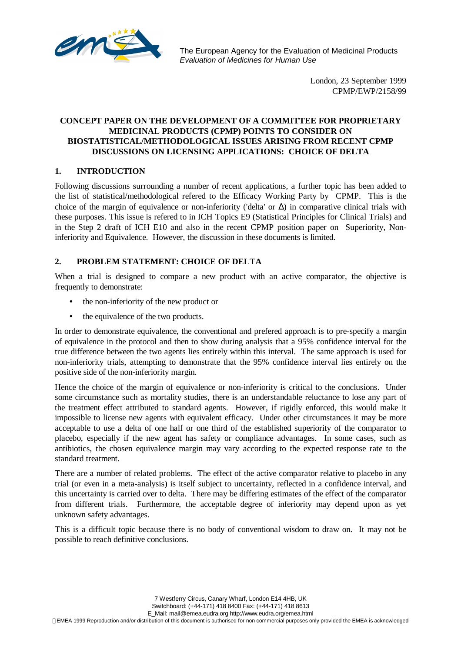

The European Agency for the Evaluation of Medicinal Products *Evaluation of Medicines for Human Use*

> London, 23 September 1999 CPMP/EWP/2158/99

# **CONCEPT PAPER ON THE DEVELOPMENT OF A COMMITTEE FOR PROPRIETARY MEDICINAL PRODUCTS (CPMP) POINTS TO CONSIDER ON BIOSTATISTICAL/METHODOLOGICAL ISSUES ARISING FROM RECENT CPMP DISCUSSIONS ON LICENSING APPLICATIONS: CHOICE OF DELTA**

### **1. INTRODUCTION**

Following discussions surrounding a number of recent applications, a further topic has been added to the list of statistical/methodological refered to the Efficacy Working Party by CPMP. This is the choice of the margin of equivalence or non-inferiority ('delta' or  $\Delta$ ) in comparative clinical trials with these purposes. This issue is refered to in ICH Topics E9 (Statistical Principles for Clinical Trials) and in the Step 2 draft of ICH E10 and also in the recent CPMP position paper on Superiority, Noninferiority and Equivalence. However, the discussion in these documents is limited.

# **2. PROBLEM STATEMENT: CHOICE OF DELTA**

When a trial is designed to compare a new product with an active comparator, the objective is frequently to demonstrate:

- the non-inferiority of the new product or
- the equivalence of the two products.

In order to demonstrate equivalence, the conventional and prefered approach is to pre-specify a margin of equivalence in the protocol and then to show during analysis that a 95% confidence interval for the true difference between the two agents lies entirely within this interval. The same approach is used for non-inferiority trials, attempting to demonstrate that the 95% confidence interval lies entirely on the positive side of the non-inferiority margin.

Hence the choice of the margin of equivalence or non-inferiority is critical to the conclusions. Under some circumstance such as mortality studies, there is an understandable reluctance to lose any part of the treatment effect attributed to standard agents. However, if rigidly enforced, this would make it impossible to license new agents with equivalent efficacy. Under other circumstances it may be more acceptable to use a delta of one half or one third of the established superiority of the comparator to placebo, especially if the new agent has safety or compliance advantages. In some cases, such as antibiotics, the chosen equivalence margin may vary according to the expected response rate to the standard treatment.

There are a number of related problems. The effect of the active comparator relative to placebo in any trial (or even in a meta-analysis) is itself subject to uncertainty, reflected in a confidence interval, and this uncertainty is carried over to delta. There may be differing estimates of the effect of the comparator from different trials. Furthermore, the acceptable degree of inferiority may depend upon as yet unknown safety advantages.

This is a difficult topic because there is no body of conventional wisdom to draw on. It may not be possible to reach definitive conclusions.